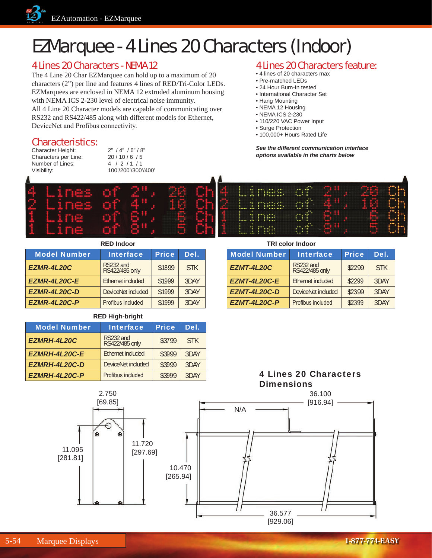

## EZMarquee - 4 Lines 20 Characters (Indoor)

### 4 Lines 20 Characters - NEMA 12

The 4 Line 20 Char EZMarquee can hold up to a maximum of 20 characters (2") per line and features 4 lines of RED/Tri-Color LEDs. EZMarquees are enclosed in NEMA 12 extruded aluminum housing with NEMA ICS 2-230 level of electrical noise immunity.

All 4 Line 20 Character models are capable of communicating over RS232 and RS422/485 along with different models for Ethernet, DeviceNet and Profibus connectivity.

#### Characteristics:

Character Height: 2" / 4" / 6" / 8" Characters per Line: 20 / 10 / 6 / 5 Number of Lines: 4 / 2 / 1 / 1



### 4 Lines 20 Characters feature:

- 4 lines of 20 characters max
- Pre-matched LEDs
- 24 Hour Burn-In tested
- International Character Set
- Hang Mounting
- NEMA 12 Housing
- NEMA ICS 2-230
- 110/220 VAC Power Input
- Surge Protection
- 100,000+ Hours Rated Life

*See the different communication interface options available in the charts below*

| <b>RED Indoor</b>           |              |            |                     | <b>TRI color Indoor</b>     |              |            |  |
|-----------------------------|--------------|------------|---------------------|-----------------------------|--------------|------------|--|
| <b>Interface</b>            | <b>Price</b> | Del.       | <b>Model Number</b> | <b>Interface</b>            | <b>Price</b> | Del.       |  |
| RS232 and<br>RS422/485 only | \$1899       | <b>STK</b> | EZMT-4L20C          | RS232 and<br>RS422/485 only | \$2299       | <b>STK</b> |  |

| <b>RED Indoor</b>   |                             |              |            |  |
|---------------------|-----------------------------|--------------|------------|--|
| <b>Model Number</b> | <b>Interface</b>            | <b>Price</b> | Del.       |  |
| <b>EZMR-4L20C</b>   | RS232 and<br>RS422/485 only | \$1899       | <b>STK</b> |  |
| EZMR-4L20C-E        | Ethernet included           | \$1999       | 3DAY       |  |
| EZMR-4L20C-D        | DeviceNet included          | \$1999       | 3DAY       |  |
| EZMR-4L20C-P        | Profibus included           | \$1999       | 3DAY       |  |

**RED High-bright**

| <b>Model Number</b>  | <b>Interface</b>            | <b>Price</b> | Del.       |
|----------------------|-----------------------------|--------------|------------|
| EZMRH-4L20C          | RS232 and<br>RS422/485 only | \$3799       | <b>STK</b> |
| <b>EZMRH-4L20C-E</b> | Ethernet included           | \$3999       | 3DAY       |
| EZMRH-4L20C-D        | DeviceNet included          | \$3999       | 3DAY       |
| <b>EZMRH-4L20C-P</b> | Profibus included           | \$3999       | 3DAY       |

## 4 Lines 20 Characters

**EZMT-4L20C-E** Ethernet included | \$2299 3DAY **EZMT-4L20C-D** DeviceNet included | \$2399 3DAY **EZMT-4L20C-P** Profibus included | \$2399 3DAY

**Dimensions**